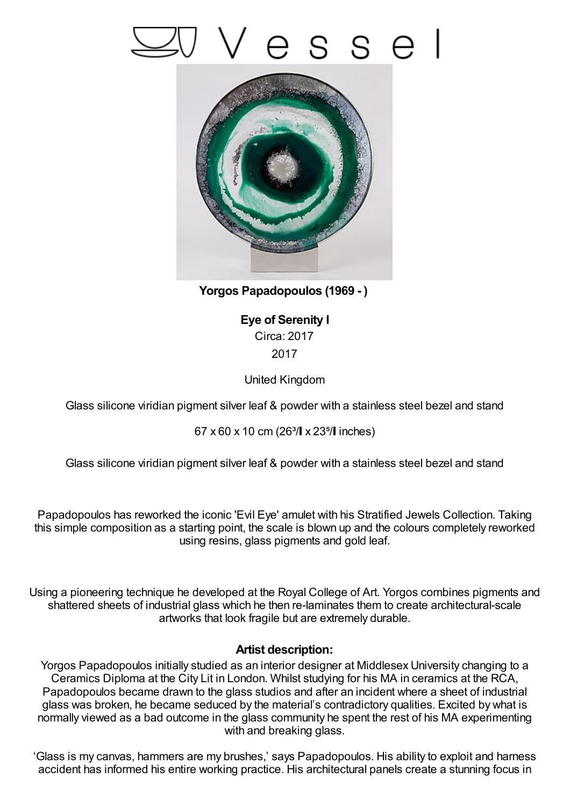



**Yorgos Papadopoulos (1969 - )**

**Eye of Serenity I** Circa: 2017 2017

United Kingdom

Glass silicone viridian pigment silver leaf & powder with a stainless steel bezel and stand

67 x 60 x 10 cm (26 $3/$  x 23 $5/$  inches)

Glass silicone viridian pigment silver leaf & powder with a stainless steel bezel and stand

Papadopoulos has reworked the iconic 'Evil Eye' amulet with his Stratified Jewels Collection. Taking this simple composition as a starting point, the scale is blown up and the colours completely reworked using resins, glass pigments and gold leaf.

Using a pioneering technique he developed at the Royal College of Art. Yorgos combines pigments and shattered sheets of industrial glass which he then re-laminates them to create architectural-scale artworks that look fragile but are extremely durable.

## **Artist description:**

Yorgos Papadopoulos initially studied as an interior designer at Middlesex University changing to a Ceramics Diploma at the City Lit in London. Whilst studying for his MA in ceramics at the RCA, Papadopoulos became drawn to the glass studios and after an incident where a sheet of industrial glass was broken, he became seduced by the material's contradictory qualities. Excited by what is normally viewed as a bad outcome in the glass community he spent the rest of his MA experimenting with and breaking glass.

'Glass is my canvas, hammers are my brushes,' says Papadopoulos. His ability to exploit and harness accident has informed his entire working practice. His architectural panels create a stunning focus in